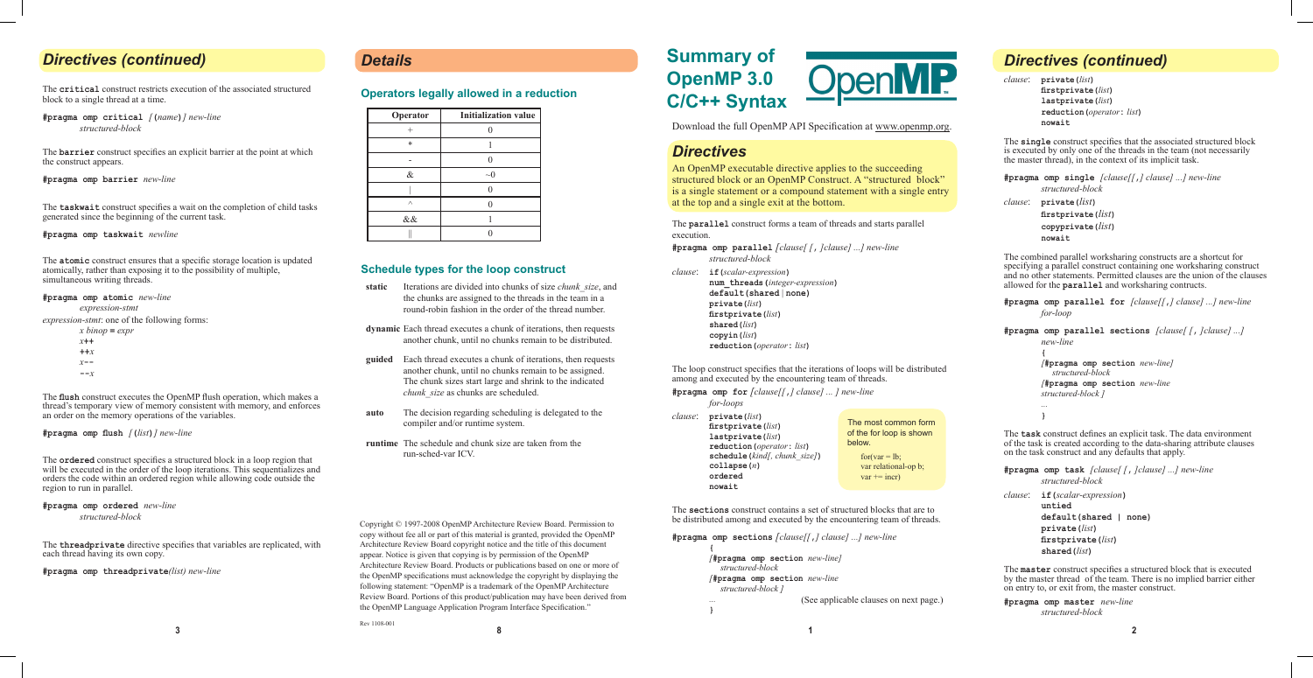## *Details*

## **Operators legally allowed in a reduction**

| Operator | <b>Initialization value</b> |
|----------|-----------------------------|
|          |                             |
| *        |                             |
|          |                             |
| &        | $\sim 0$                    |
|          |                             |
| Λ        |                             |
| $\&\&$   |                             |
|          |                             |

## **Schedule types for the loop construct**

| static | Iterations are divided into chunks of size <i>chunk size</i> , and<br>the chunks are assigned to the threads in the team in a<br>round-robin fashion in the order of the thread number.                                     |
|--------|-----------------------------------------------------------------------------------------------------------------------------------------------------------------------------------------------------------------------------|
|        | <b>dynamic</b> Each thread executes a chunk of iterations, then requests<br>another chunk, until no chunks remain to be distributed.                                                                                        |
| guided | Each thread executes a chunk of iterations, then requests<br>another chunk, until no chunks remain to be assigned.<br>The chunk sizes start large and shrink to the indicated<br><i>chunk size</i> as chunks are scheduled. |
| auto   | The decision regarding scheduling is delegated to the<br>compiler and/or runtime system.                                                                                                                                    |
|        | runtime The schedule and chunk size are taken from the<br>run-sched-var ICV.                                                                                                                                                |

Copyright © 1997-2008 OpenMP Architecture Review Board. Permission to copy without fee all or part of this material is granted, provided the OpenMP Architecture Review Board copyright notice and the title of this document appear. Notice is given that copying is by permission of the OpenMP Architecture Review Board. Products or publications based on one or more of the OpenMP specifications must acknowledge the copyright by displaying the following statement: "OpenMP is a trademark of the OpenMP Architecture Review Board. Portions of this product/publication may have been derived from the OpenMP Language Application Program Interface Specification."